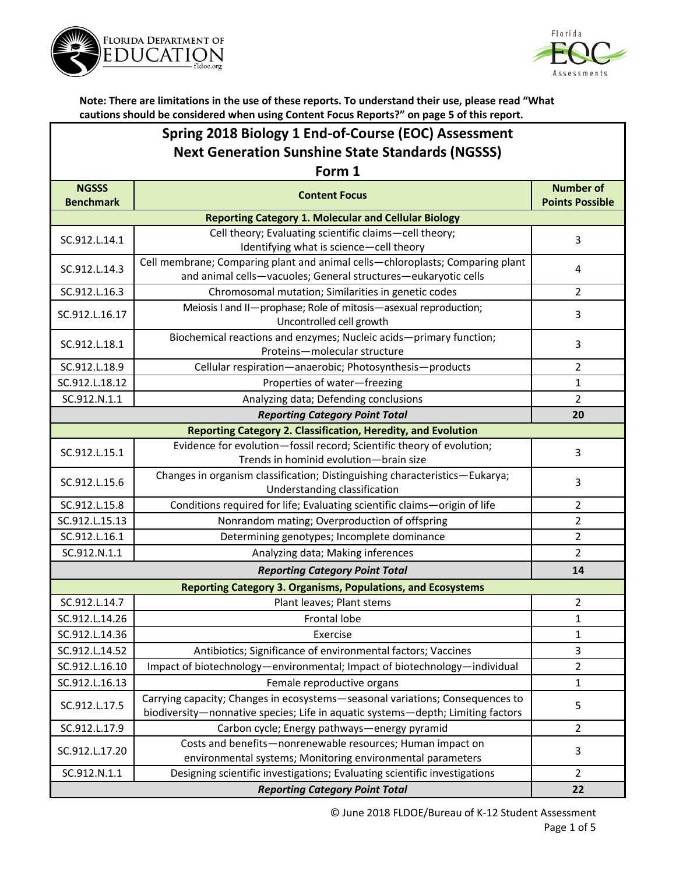



| Spring 2018 Biology 1 End-of-Course (EOC) Assessment    |
|---------------------------------------------------------|
| <b>Next Generation Sunshine State Standards (NGSSS)</b> |

| Form 1                           |                                                                                                                                                                  |                                            |  |  |
|----------------------------------|------------------------------------------------------------------------------------------------------------------------------------------------------------------|--------------------------------------------|--|--|
| <b>NGSSS</b><br><b>Benchmark</b> | <b>Content Focus</b>                                                                                                                                             | <b>Number of</b><br><b>Points Possible</b> |  |  |
|                                  | <b>Reporting Category 1. Molecular and Cellular Biology</b>                                                                                                      |                                            |  |  |
| SC.912.L.14.1                    | Cell theory; Evaluating scientific claims-cell theory;                                                                                                           | $\overline{3}$                             |  |  |
|                                  | Identifying what is science-cell theory                                                                                                                          |                                            |  |  |
| SC.912.L.14.3                    | Cell membrane; Comparing plant and animal cells-chloroplasts; Comparing plant                                                                                    | 4                                          |  |  |
| SC.912.L.16.3                    | and animal cells-vacuoles; General structures-eukaryotic cells<br>Chromosomal mutation; Similarities in genetic codes                                            | 2                                          |  |  |
|                                  | Meiosis I and II-prophase; Role of mitosis-asexual reproduction;                                                                                                 |                                            |  |  |
| SC.912.L.16.17                   | Uncontrolled cell growth                                                                                                                                         | 3                                          |  |  |
|                                  | Biochemical reactions and enzymes; Nucleic acids-primary function;                                                                                               |                                            |  |  |
| SC.912.L.18.1                    | Proteins-molecular structure                                                                                                                                     | 3                                          |  |  |
| SC.912.L.18.9                    | Cellular respiration-anaerobic; Photosynthesis-products                                                                                                          | $\overline{2}$                             |  |  |
| SC.912.L.18.12                   | Properties of water-freezing                                                                                                                                     | $\mathbf{1}$                               |  |  |
| SC.912.N.1.1                     | Analyzing data; Defending conclusions                                                                                                                            | $\overline{2}$                             |  |  |
|                                  | <b>Reporting Category Point Total</b>                                                                                                                            | 20                                         |  |  |
|                                  | Reporting Category 2. Classification, Heredity, and Evolution                                                                                                    |                                            |  |  |
| SC.912.L.15.1                    | Evidence for evolution-fossil record; Scientific theory of evolution;                                                                                            | 3                                          |  |  |
|                                  | Trends in hominid evolution-brain size                                                                                                                           |                                            |  |  |
| SC.912.L.15.6                    | Changes in organism classification; Distinguishing characteristics-Eukarya;                                                                                      | 3                                          |  |  |
| SC.912.L.15.8                    | Understanding classification                                                                                                                                     |                                            |  |  |
|                                  | Conditions required for life; Evaluating scientific claims-origin of life                                                                                        | $\overline{2}$                             |  |  |
| SC.912.L.15.13                   | Nonrandom mating; Overproduction of offspring                                                                                                                    | $\overline{2}$                             |  |  |
| SC.912.L.16.1                    | Determining genotypes; Incomplete dominance                                                                                                                      | $\overline{2}$                             |  |  |
| SC.912.N.1.1                     | Analyzing data; Making inferences                                                                                                                                | $\overline{2}$                             |  |  |
|                                  | <b>Reporting Category Point Total</b>                                                                                                                            | 14                                         |  |  |
|                                  | <b>Reporting Category 3. Organisms, Populations, and Ecosystems</b>                                                                                              |                                            |  |  |
| SC.912.L.14.7                    | Plant leaves; Plant stems                                                                                                                                        | $\overline{2}$                             |  |  |
| SC.912.L.14.26                   | Frontal lobe                                                                                                                                                     | $\mathbf{1}$                               |  |  |
| SC.912.L.14.36                   | Exercise                                                                                                                                                         | $\mathbf{1}$                               |  |  |
| SC.912.L.14.52                   | Antibiotics; Significance of environmental factors; Vaccines                                                                                                     | $\overline{3}$                             |  |  |
| SC.912.L.16.10                   | Impact of biotechnology-environmental; Impact of biotechnology-individual                                                                                        | $\overline{2}$                             |  |  |
| SC.912.L.16.13                   | Female reproductive organs                                                                                                                                       | $\mathbf{1}$                               |  |  |
| SC.912.L.17.5                    | Carrying capacity; Changes in ecosystems-seasonal variations; Consequences to<br>biodiversity-nonnative species; Life in aquatic systems-depth; Limiting factors | 5                                          |  |  |
| SC.912.L.17.9                    | Carbon cycle; Energy pathways-energy pyramid                                                                                                                     | $\overline{2}$                             |  |  |
| SC.912.L.17.20                   | Costs and benefits-nonrenewable resources; Human impact on                                                                                                       |                                            |  |  |
|                                  | environmental systems; Monitoring environmental parameters                                                                                                       | 3                                          |  |  |
| SC.912.N.1.1                     | Designing scientific investigations; Evaluating scientific investigations                                                                                        | 2                                          |  |  |
|                                  | 22                                                                                                                                                               |                                            |  |  |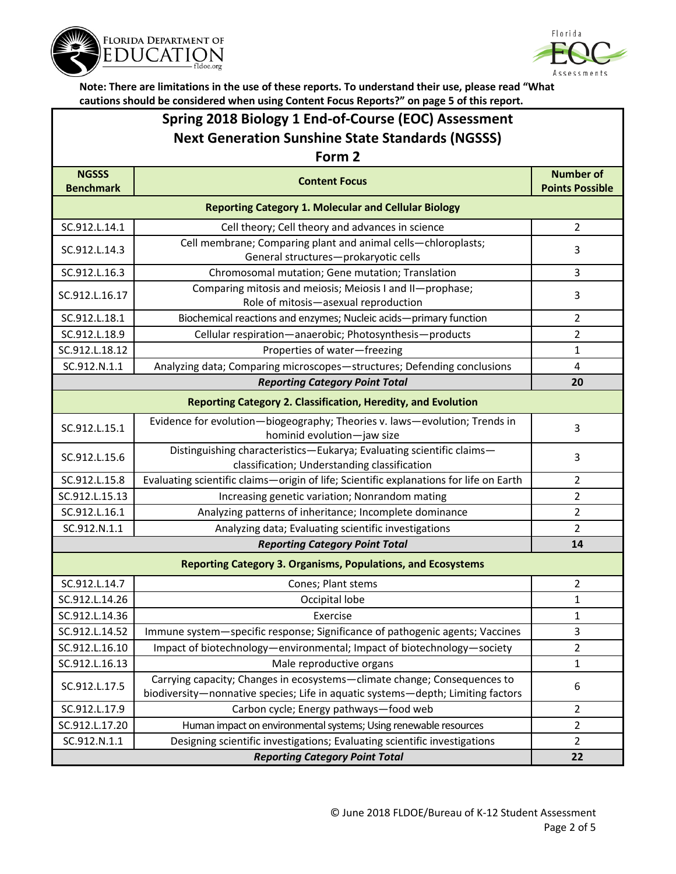



|                                                         | cautions should be considered when using Content Focus Reports?" on page 5 of this report. |                         |  |  |  |
|---------------------------------------------------------|--------------------------------------------------------------------------------------------|-------------------------|--|--|--|
| Spring 2018 Biology 1 End-of-Course (EOC) Assessment    |                                                                                            |                         |  |  |  |
| <b>Next Generation Sunshine State Standards (NGSSS)</b> |                                                                                            |                         |  |  |  |
|                                                         | Form 2                                                                                     |                         |  |  |  |
| <b>NGSSS</b>                                            | <b>Content Focus</b>                                                                       | <b>Number of</b>        |  |  |  |
| <b>Benchmark</b>                                        |                                                                                            | <b>Points Possible</b>  |  |  |  |
|                                                         | <b>Reporting Category 1. Molecular and Cellular Biology</b>                                |                         |  |  |  |
| SC.912.L.14.1                                           | Cell theory; Cell theory and advances in science                                           | $\overline{2}$          |  |  |  |
| SC.912.L.14.3                                           | Cell membrane; Comparing plant and animal cells-chloroplasts;                              | 3                       |  |  |  |
|                                                         | General structures-prokaryotic cells                                                       |                         |  |  |  |
| SC.912.L.16.3                                           | Chromosomal mutation; Gene mutation; Translation                                           | 3                       |  |  |  |
| SC.912.L.16.17                                          | Comparing mitosis and meiosis; Meiosis I and II-prophase;                                  | 3                       |  |  |  |
|                                                         | Role of mitosis-asexual reproduction                                                       |                         |  |  |  |
| SC.912.L.18.1                                           | Biochemical reactions and enzymes; Nucleic acids-primary function                          | $\overline{2}$          |  |  |  |
| SC.912.L.18.9                                           | Cellular respiration-anaerobic; Photosynthesis-products                                    | 2                       |  |  |  |
| SC.912.L.18.12                                          | Properties of water-freezing                                                               | $\mathbf{1}$            |  |  |  |
| SC.912.N.1.1                                            | Analyzing data; Comparing microscopes-structures; Defending conclusions                    | $\overline{\mathbf{4}}$ |  |  |  |
|                                                         | <b>Reporting Category Point Total</b>                                                      | 20                      |  |  |  |
|                                                         | <b>Reporting Category 2. Classification, Heredity, and Evolution</b>                       |                         |  |  |  |
| SC.912.L.15.1                                           | Evidence for evolution-biogeography; Theories v. laws-evolution; Trends in                 | 3                       |  |  |  |
|                                                         | hominid evolution-jaw size                                                                 |                         |  |  |  |
| SC.912.L.15.6                                           | Distinguishing characteristics-Eukarya; Evaluating scientific claims-                      | 3                       |  |  |  |
|                                                         | classification; Understanding classification                                               |                         |  |  |  |
| SC.912.L.15.8                                           | Evaluating scientific claims-origin of life; Scientific explanations for life on Earth     | 2                       |  |  |  |
| SC.912.L.15.13                                          | Increasing genetic variation; Nonrandom mating                                             | $\overline{2}$          |  |  |  |
| SC.912.L.16.1                                           | Analyzing patterns of inheritance; Incomplete dominance                                    | $\overline{2}$          |  |  |  |
| SC.912.N.1.1                                            | Analyzing data; Evaluating scientific investigations                                       | 2                       |  |  |  |
|                                                         | <b>Reporting Category Point Total</b>                                                      | 14                      |  |  |  |
|                                                         | <b>Reporting Category 3. Organisms, Populations, and Ecosystems</b>                        |                         |  |  |  |
| SC.912.L.14.7                                           | Cones; Plant stems                                                                         | 2                       |  |  |  |
| SC.912.L.14.26                                          | Occipital lobe                                                                             | $\mathbf 1$             |  |  |  |
| SC.912.L.14.36                                          | Exercise                                                                                   | $\mathbf 1$             |  |  |  |
| SC.912.L.14.52                                          | Immune system-specific response; Significance of pathogenic agents; Vaccines               | 3                       |  |  |  |
| SC.912.L.16.10                                          | Impact of biotechnology-environmental; Impact of biotechnology-society                     | 2                       |  |  |  |
| SC.912.L.16.13                                          | Male reproductive organs                                                                   | $\mathbf 1$             |  |  |  |
| SC.912.L.17.5                                           | Carrying capacity; Changes in ecosystems-climate change; Consequences to                   | 6                       |  |  |  |
|                                                         | biodiversity-nonnative species; Life in aquatic systems-depth; Limiting factors            |                         |  |  |  |
| SC.912.L.17.9                                           | Carbon cycle; Energy pathways-food web                                                     | 2                       |  |  |  |
| SC.912.L.17.20                                          | Human impact on environmental systems; Using renewable resources                           | 2                       |  |  |  |
| SC.912.N.1.1                                            | Designing scientific investigations; Evaluating scientific investigations                  | 2                       |  |  |  |
|                                                         | 22                                                                                         |                         |  |  |  |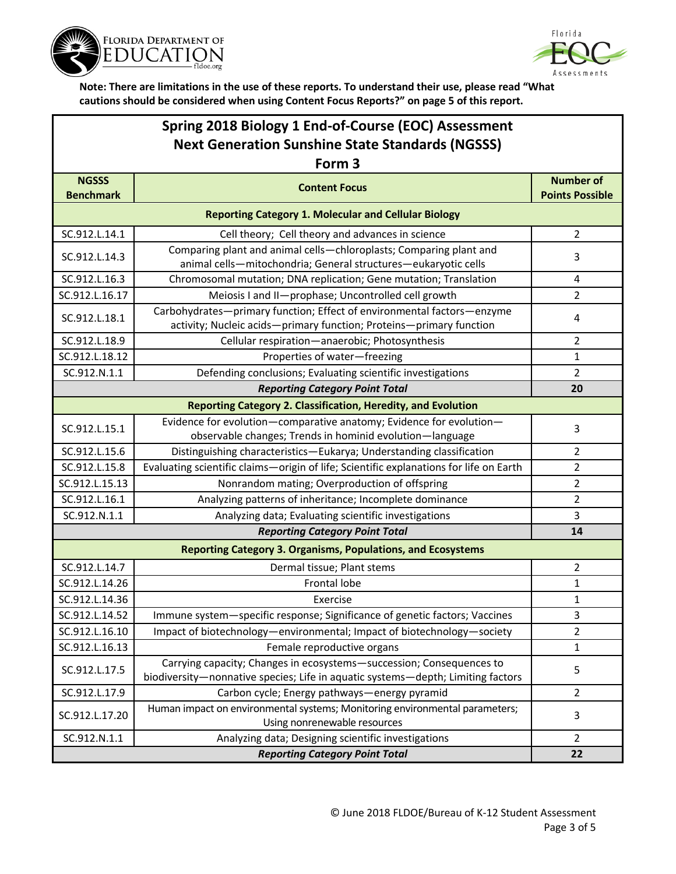



## **Spring 2018 Biology 1 End-of-Course (EOC) Assessment Next Generation Sunshine State Standards (NGSSS)**

| Form 3                                                      |                                                                                                                                                         |                                            |  |  |
|-------------------------------------------------------------|---------------------------------------------------------------------------------------------------------------------------------------------------------|--------------------------------------------|--|--|
| <b>NGSSS</b><br><b>Benchmark</b>                            | <b>Content Focus</b>                                                                                                                                    | <b>Number of</b><br><b>Points Possible</b> |  |  |
| <b>Reporting Category 1. Molecular and Cellular Biology</b> |                                                                                                                                                         |                                            |  |  |
| SC.912.L.14.1                                               | Cell theory; Cell theory and advances in science                                                                                                        | $\overline{2}$                             |  |  |
| SC.912.L.14.3                                               | Comparing plant and animal cells-chloroplasts; Comparing plant and<br>animal cells-mitochondria; General structures-eukaryotic cells                    | 3                                          |  |  |
| SC.912.L.16.3                                               | Chromosomal mutation; DNA replication; Gene mutation; Translation                                                                                       | 4                                          |  |  |
| SC.912.L.16.17                                              | Meiosis I and II-prophase; Uncontrolled cell growth                                                                                                     | 2                                          |  |  |
| SC.912.L.18.1                                               | Carbohydrates-primary function; Effect of environmental factors-enzyme<br>activity; Nucleic acids-primary function; Proteins-primary function           | 4                                          |  |  |
| SC.912.L.18.9                                               | Cellular respiration-anaerobic; Photosynthesis                                                                                                          | $\overline{2}$                             |  |  |
| SC.912.L.18.12                                              | Properties of water-freezing                                                                                                                            | 1                                          |  |  |
| SC.912.N.1.1                                                | Defending conclusions; Evaluating scientific investigations                                                                                             | $\overline{2}$                             |  |  |
|                                                             | <b>Reporting Category Point Total</b>                                                                                                                   | 20                                         |  |  |
|                                                             | <b>Reporting Category 2. Classification, Heredity, and Evolution</b>                                                                                    |                                            |  |  |
| SC.912.L.15.1                                               | Evidence for evolution-comparative anatomy; Evidence for evolution-<br>observable changes; Trends in hominid evolution-language                         | 3                                          |  |  |
| SC.912.L.15.6                                               | Distinguishing characteristics-Eukarya; Understanding classification                                                                                    | $\overline{2}$                             |  |  |
| SC.912.L.15.8                                               | Evaluating scientific claims-origin of life; Scientific explanations for life on Earth                                                                  | $\overline{2}$                             |  |  |
| SC.912.L.15.13                                              | Nonrandom mating; Overproduction of offspring                                                                                                           | $\overline{2}$                             |  |  |
| SC.912.L.16.1                                               | Analyzing patterns of inheritance; Incomplete dominance                                                                                                 | $\overline{2}$                             |  |  |
| SC.912.N.1.1                                                | Analyzing data; Evaluating scientific investigations                                                                                                    | 3                                          |  |  |
| <b>Reporting Category Point Total</b><br>14                 |                                                                                                                                                         |                                            |  |  |
|                                                             | <b>Reporting Category 3. Organisms, Populations, and Ecosystems</b>                                                                                     |                                            |  |  |
| SC.912.L.14.7                                               | Dermal tissue; Plant stems                                                                                                                              | $\overline{2}$                             |  |  |
| SC.912.L.14.26                                              | <b>Frontal lobe</b>                                                                                                                                     | 1                                          |  |  |
| SC.912.L.14.36                                              | Exercise                                                                                                                                                | 1                                          |  |  |
| SC.912.L.14.52                                              | Immune system-specific response; Significance of genetic factors; Vaccines                                                                              | 3                                          |  |  |
| SC.912.L.16.10                                              | Impact of biotechnology-environmental; Impact of biotechnology-society                                                                                  | $\overline{2}$                             |  |  |
| SC.912.L.16.13                                              | Female reproductive organs                                                                                                                              | 1                                          |  |  |
| SC.912.L.17.5                                               | Carrying capacity; Changes in ecosystems-succession; Consequences to<br>biodiversity-nonnative species; Life in aquatic systems-depth; Limiting factors | 5                                          |  |  |
| SC.912.L.17.9                                               | Carbon cycle; Energy pathways-energy pyramid                                                                                                            | $\overline{2}$                             |  |  |
| SC.912.L.17.20                                              | Human impact on environmental systems; Monitoring environmental parameters;<br>Using nonrenewable resources                                             | 3                                          |  |  |
| SC.912.N.1.1                                                | Analyzing data; Designing scientific investigations                                                                                                     | $\overline{2}$                             |  |  |
|                                                             | 22                                                                                                                                                      |                                            |  |  |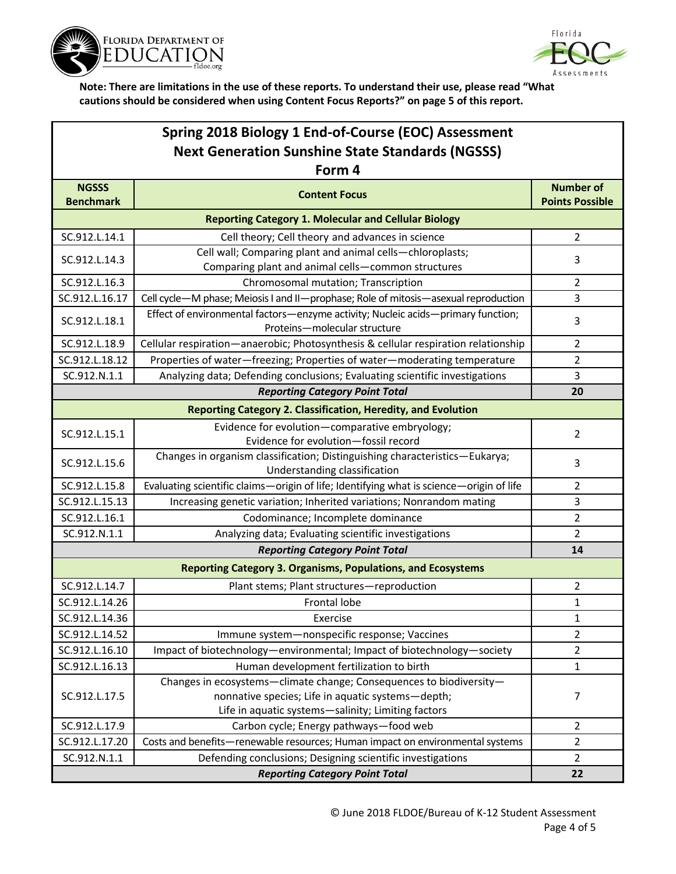



| Spring 2018 Biology 1 End-of-Course (EOC) Assessment    |                                                                                                                                                                                |                                            |  |  |
|---------------------------------------------------------|--------------------------------------------------------------------------------------------------------------------------------------------------------------------------------|--------------------------------------------|--|--|
| <b>Next Generation Sunshine State Standards (NGSSS)</b> |                                                                                                                                                                                |                                            |  |  |
| Form 4                                                  |                                                                                                                                                                                |                                            |  |  |
| <b>NGSSS</b><br><b>Benchmark</b>                        | <b>Content Focus</b>                                                                                                                                                           | <b>Number of</b><br><b>Points Possible</b> |  |  |
|                                                         | <b>Reporting Category 1. Molecular and Cellular Biology</b>                                                                                                                    |                                            |  |  |
| SC.912.L.14.1                                           | Cell theory; Cell theory and advances in science                                                                                                                               | $\overline{2}$                             |  |  |
| SC.912.L.14.3                                           | Cell wall; Comparing plant and animal cells-chloroplasts;<br>Comparing plant and animal cells-common structures                                                                | 3                                          |  |  |
| SC.912.L.16.3                                           | Chromosomal mutation; Transcription                                                                                                                                            | $\overline{2}$                             |  |  |
| SC.912.L.16.17                                          | Cell cycle-M phase; Meiosis I and II-prophase; Role of mitosis-asexual reproduction                                                                                            | 3                                          |  |  |
| SC.912.L.18.1                                           | Effect of environmental factors-enzyme activity; Nucleic acids-primary function;<br>Proteins-molecular structure                                                               | 3                                          |  |  |
| SC.912.L.18.9                                           | Cellular respiration-anaerobic; Photosynthesis & cellular respiration relationship                                                                                             | $\overline{2}$                             |  |  |
| SC.912.L.18.12                                          | Properties of water-freezing; Properties of water-moderating temperature                                                                                                       | 2                                          |  |  |
| SC.912.N.1.1                                            | Analyzing data; Defending conclusions; Evaluating scientific investigations                                                                                                    | $\overline{3}$                             |  |  |
|                                                         | <b>Reporting Category Point Total</b>                                                                                                                                          | 20                                         |  |  |
|                                                         | <b>Reporting Category 2. Classification, Heredity, and Evolution</b>                                                                                                           |                                            |  |  |
| SC.912.L.15.1                                           | Evidence for evolution-comparative embryology;<br>Evidence for evolution-fossil record                                                                                         | $\overline{2}$                             |  |  |
| SC.912.L.15.6                                           | Changes in organism classification; Distinguishing characteristics-Eukarya;<br>Understanding classification                                                                    | 3                                          |  |  |
| SC.912.L.15.8                                           | Evaluating scientific claims-origin of life; Identifying what is science-origin of life                                                                                        | 2                                          |  |  |
| SC.912.L.15.13                                          | Increasing genetic variation; Inherited variations; Nonrandom mating                                                                                                           | 3                                          |  |  |
| SC.912.L.16.1                                           | Codominance; Incomplete dominance                                                                                                                                              | 2                                          |  |  |
| SC.912.N.1.1                                            | Analyzing data; Evaluating scientific investigations                                                                                                                           | 2                                          |  |  |
|                                                         | <b>Reporting Category Point Total</b>                                                                                                                                          | 14                                         |  |  |
|                                                         | <b>Reporting Category 3. Organisms, Populations, and Ecosystems</b>                                                                                                            |                                            |  |  |
| SC.912.L.14.7                                           | Plant stems; Plant structures-reproduction                                                                                                                                     | $\overline{2}$                             |  |  |
| SC.912.L.14.26                                          | Frontal lobe                                                                                                                                                                   | 1                                          |  |  |
| SC.912.L.14.36                                          | Exercise                                                                                                                                                                       | $\mathbf 1$                                |  |  |
| SC.912.L.14.52                                          | Immune system-nonspecific response; Vaccines                                                                                                                                   | $\overline{2}$                             |  |  |
| SC.912.L.16.10                                          | Impact of biotechnology-environmental; Impact of biotechnology-society                                                                                                         | $\overline{2}$                             |  |  |
| SC.912.L.16.13                                          | Human development fertilization to birth                                                                                                                                       | $\mathbf{1}$                               |  |  |
| SC.912.L.17.5                                           | Changes in ecosystems-climate change; Consequences to biodiversity-<br>nonnative species; Life in aquatic systems-depth;<br>Life in aquatic systems-salinity; Limiting factors | 7                                          |  |  |
| SC.912.L.17.9                                           | Carbon cycle; Energy pathways-food web                                                                                                                                         | $\overline{2}$                             |  |  |
| SC.912.L.17.20                                          | Costs and benefits-renewable resources; Human impact on environmental systems                                                                                                  | $\overline{2}$                             |  |  |
| SC.912.N.1.1                                            | Defending conclusions; Designing scientific investigations                                                                                                                     | $\overline{2}$                             |  |  |
|                                                         | 22                                                                                                                                                                             |                                            |  |  |